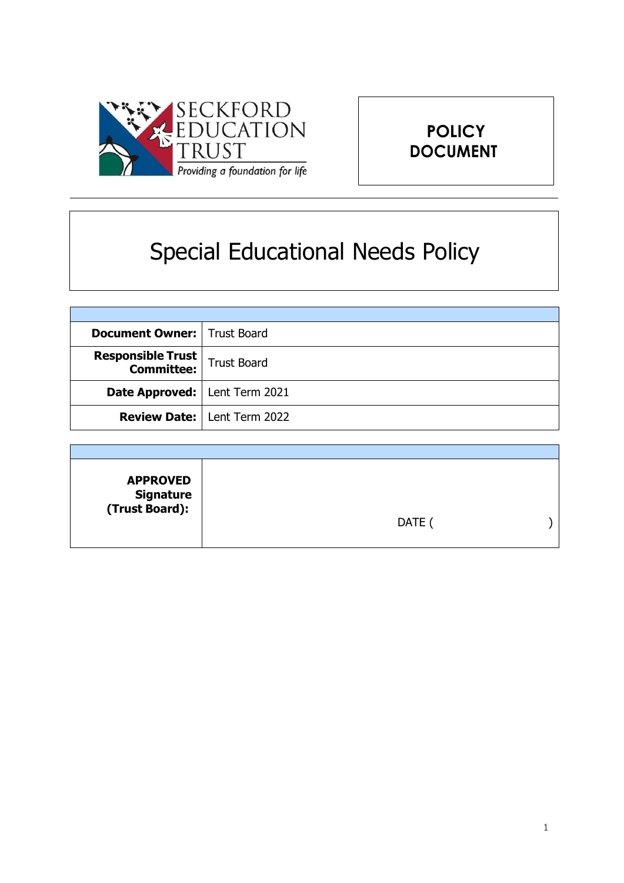



# Special Educational Needs Policy

| <b>Document Owner:   Trust Board</b>   |                                      |
|----------------------------------------|--------------------------------------|
| Responsible Trust<br>  Committee:      | <b>Trust Board</b>                   |
| <b>Date Approved:</b>   Lent Term 2021 |                                      |
|                                        | <b>Review Date:   Lent Term 2022</b> |

| <b>APPROVED</b><br>Signature<br>:(Trust Board) | DATE ( |  |
|------------------------------------------------|--------|--|
|                                                |        |  |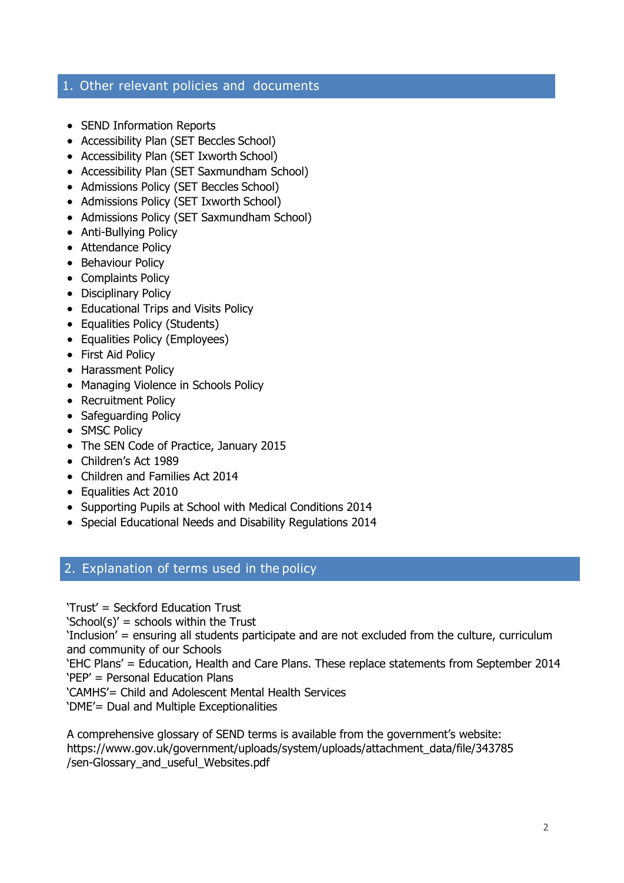# 1. Other relevant policies and documents

- SEND Information Reports
- Accessibility Plan (SET Beccles School)
- Accessibility Plan (SET Ixworth School)
- Accessibility Plan (SET Saxmundham School)
- Admissions Policy (SET Beccles School)
- Admissions Policy (SET Ixworth School)
- Admissions Policy (SET Saxmundham School)
- Anti-Bullying Policy
- Attendance Policy
- Behaviour Policy
- Complaints Policy
- Disciplinary Policy
- Educational Trips and Visits Policy
- Equalities Policy (Students)
- Equalities Policy (Employees)
- First Aid Policy
- Harassment Policy
- Managing Violence in Schools Policy
- Recruitment Policy
- Safeguarding Policy
- SMSC Policy
- The SEN Code of Practice, January 2015
- Children's Act 1989
- Children and Families Act 2014
- Equalities Act 2010
- Supporting Pupils at School with Medical Conditions 2014
- Special Educational Needs and Disability Regulations 2014

# 2. Explanation of terms used in the policy

'Trust' = Seckford Education Trust

'School(s)' = schools within the Trust

'Inclusion' = ensuring all students participate and are not excluded from the culture, curriculum and community of our Schools

'EHC Plans' = Education, Health and Care Plans. These replace statements from September 2014 'PEP' = Personal Education Plans

'CAMHS'= Child and Adolescent Mental Health Services

'DME'= Dual and Multiple Exceptionalities

A comprehensive glossary of SEND terms is available from the government's website: https:/[/www.gov.uk/government/uploads/system/uploads/attachment\\_data/file/343785](http://www.gov.uk/government/uploads/system/uploads/attachment_data/file/343785) /sen-Glossary\_and\_useful\_Websites.pdf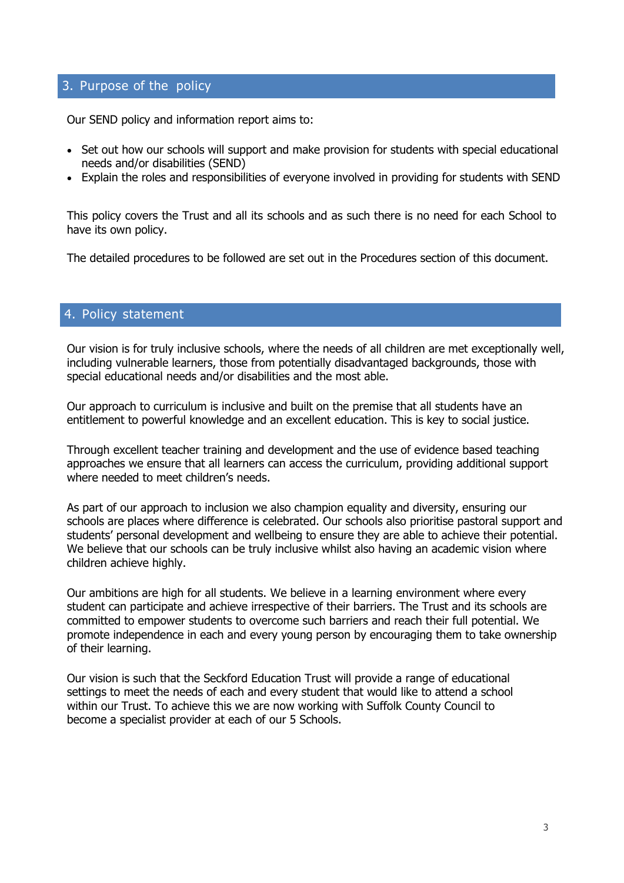# 3. Purpose of the policy

Our SEND policy and information report aims to:

- Set out how our schools will support and make provision for students with special educational needs and/or disabilities (SEND)
- Explain the roles and responsibilities of everyone involved in providing for students with SEND

This policy covers the Trust and all its schools and as such there is no need for each School to have its own policy.

The detailed procedures to be followed are set out in the Procedures section of this document.

## 4. Policy statement

Our vision is for truly inclusive schools, where the needs of all children are met exceptionally well, including vulnerable learners, those from potentially disadvantaged backgrounds, those with special educational needs and/or disabilities and the most able.

Our approach to curriculum is inclusive and built on the premise that all students have an entitlement to powerful knowledge and an excellent education. This is key to social justice.

Through excellent teacher training and development and the use of evidence based teaching approaches we ensure that all learners can access the curriculum, providing additional support where needed to meet children's needs.

As part of our approach to inclusion we also champion equality and diversity, ensuring our schools are places where difference is celebrated. Our schools also prioritise pastoral support and students' personal development and wellbeing to ensure they are able to achieve their potential. We believe that our schools can be truly inclusive whilst also having an academic vision where children achieve highly.

Our ambitions are high for all students. We believe in a learning environment where every student can participate and achieve irrespective of their barriers. The Trust and its schools are committed to empower students to overcome such barriers and reach their full potential. We promote independence in each and every young person by encouraging them to take ownership of their learning.

Our vision is such that the Seckford Education Trust will provide a range of educational settings to meet the needs of each and every student that would like to attend a school within our Trust. To achieve this we are now working with Suffolk County Council to become a specialist provider at each of our 5 Schools.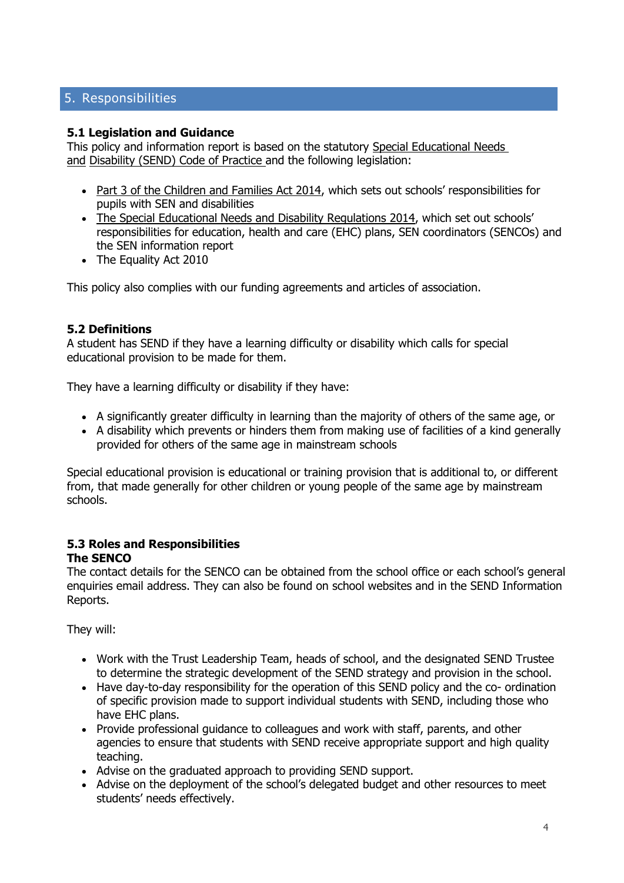# 5. Responsibilities

#### **5.1 Legislation and Guidance**

This policy and information report is based on the statutory [Special Educational Needs](https://www.gov.uk/government/uploads/system/uploads/attachment_data/file/398815/SEND_Code_of_Practice_January_2015.pdf)  [and](https://www.gov.uk/government/uploads/system/uploads/attachment_data/file/398815/SEND_Code_of_Practice_January_2015.pdf) [Disability \(SEND\) Code of Practice](https://www.gov.uk/government/uploads/system/uploads/attachment_data/file/398815/SEND_Code_of_Practice_January_2015.pdf) and the following legislation:

- [Part 3 of the Children and Families Act 2014](http://www.legislation.gov.uk/ukpga/2014/6/part/3), which sets out schools' responsibilities for pupils with SEN and disabilities
- [The Special Educational Needs and Disability Regulations 2014](http://www.legislation.gov.uk/uksi/2014/1530/contents/made), which set out schools' responsibilities for education, health and care (EHC) plans, SEN coordinators (SENCOs) and the SEN information report
- The Equality Act 2010

This policy also complies with our funding agreements and articles of association.

## **5.2 Definitions**

A student has SEND if they have a learning difficulty or disability which calls for special educational provision to be made for them.

They have a learning difficulty or disability if they have:

- A significantly greater difficulty in learning than the majority of others of the same age, or
- A disability which prevents or hinders them from making use of facilities of a kind generally provided for others of the same age in mainstream schools

Special educational provision is educational or training provision that is additional to, or different from, that made generally for other children or young people of the same age by mainstream schools.

#### **5.3 Roles and Responsibilities The SENCO**

The contact details for the SENCO can be obtained from the school office or each school's general enquiries email address. They can also be found on school websites and in the SEND Information Reports.

They will:

- Work with the Trust Leadership Team, heads of school, and the designated SEND Trustee to determine the strategic development of the SEND strategy and provision in the school.
- Have day-to-day responsibility for the operation of this SEND policy and the co- ordination of specific provision made to support individual students with SEND, including those who have EHC plans.
- Provide professional guidance to colleagues and work with staff, parents, and other agencies to ensure that students with SEND receive appropriate support and high quality teaching.
- Advise on the graduated approach to providing SEND support.
- Advise on the deployment of the school's delegated budget and other resources to meet students' needs effectively.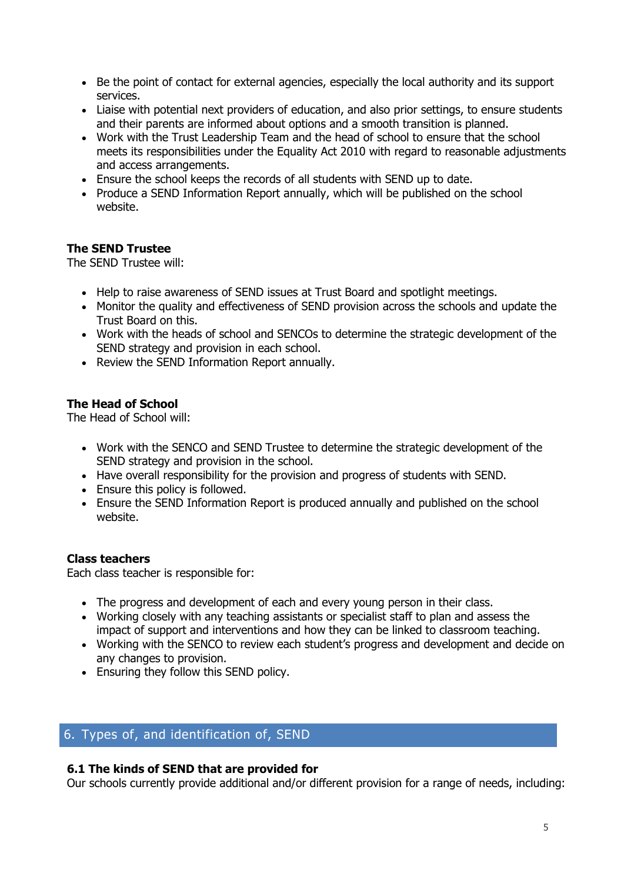- Be the point of contact for external agencies, especially the local authority and its support services.
- Liaise with potential next providers of education, and also prior settings, to ensure students and their parents are informed about options and a smooth transition is planned.
- Work with the Trust Leadership Team and the head of school to ensure that the school meets its responsibilities under the Equality Act 2010 with regard to reasonable adjustments and access arrangements.
- Ensure the school keeps the records of all students with SEND up to date.
- Produce a SEND Information Report annually, which will be published on the school website.

## **The SEND Trustee**

The SEND Trustee will:

- Help to raise awareness of SEND issues at Trust Board and spotlight meetings.
- Monitor the quality and effectiveness of SEND provision across the schools and update the Trust Board on this.
- Work with the heads of school and SENCOs to determine the strategic development of the SEND strategy and provision in each school.
- Review the SEND Information Report annually.

## **The Head of School**

The Head of School will:

- Work with the SENCO and SEND Trustee to determine the strategic development of the SEND strategy and provision in the school.
- Have overall responsibility for the provision and progress of students with SEND.
- Ensure this policy is followed.
- Ensure the SEND Information Report is produced annually and published on the school website.

## **Class teachers**

Each class teacher is responsible for:

- The progress and development of each and every young person in their class.
- Working closely with any teaching assistants or specialist staff to plan and assess the impact of support and interventions and how they can be linked to classroom teaching.
- Working with the SENCO to review each student's progress and development and decide on any changes to provision.
- Ensuring they follow this SEND policy.

# 6. Types of, and identification of, SEND

## **6.1 The kinds of SEND that are provided for**

Our schools currently provide additional and/or different provision for a range of needs, including: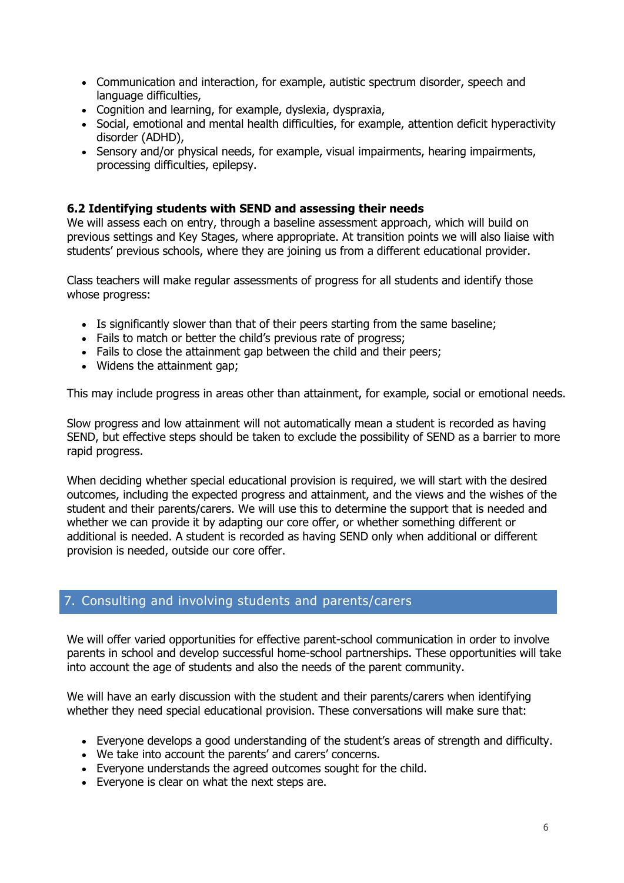- Communication and interaction, for example, autistic spectrum disorder, speech and language difficulties,
- Cognition and learning, for example, dyslexia, dyspraxia,
- Social, emotional and mental health difficulties, for example, attention deficit hyperactivity disorder (ADHD),
- Sensory and/or physical needs, for example, visual impairments, hearing impairments, processing difficulties, epilepsy.

#### **6.2 Identifying students with SEND and assessing their needs**

We will assess each on entry, through a baseline assessment approach, which will build on previous settings and Key Stages, where appropriate. At transition points we will also liaise with students' previous schools, where they are joining us from a different educational provider.

Class teachers will make regular assessments of progress for all students and identify those whose progress:

- Is significantly slower than that of their peers starting from the same baseline;
- Fails to match or better the child's previous rate of progress;
- Fails to close the attainment gap between the child and their peers;
- Widens the attainment gap;

This may include progress in areas other than attainment, for example, social or emotional needs.

Slow progress and low attainment will not automatically mean a student is recorded as having SEND, but effective steps should be taken to exclude the possibility of SEND as a barrier to more rapid progress.

When deciding whether special educational provision is required, we will start with the desired outcomes, including the expected progress and attainment, and the views and the wishes of the student and their parents/carers. We will use this to determine the support that is needed and whether we can provide it by adapting our core offer, or whether something different or additional is needed. A student is recorded as having SEND only when additional or different provision is needed, outside our core offer.

# 7. Consulting and involving students and parents/carers

We will offer varied opportunities for effective parent-school communication in order to involve parents in school and develop successful home-school partnerships. These opportunities will take into account the age of students and also the needs of the parent community.

We will have an early discussion with the student and their parents/carers when identifying whether they need special educational provision. These conversations will make sure that:

- Everyone develops a good understanding of the student's areas of strength and difficulty.
- We take into account the parents' and carers' concerns.
- Everyone understands the agreed outcomes sought for the child.
- Everyone is clear on what the next steps are.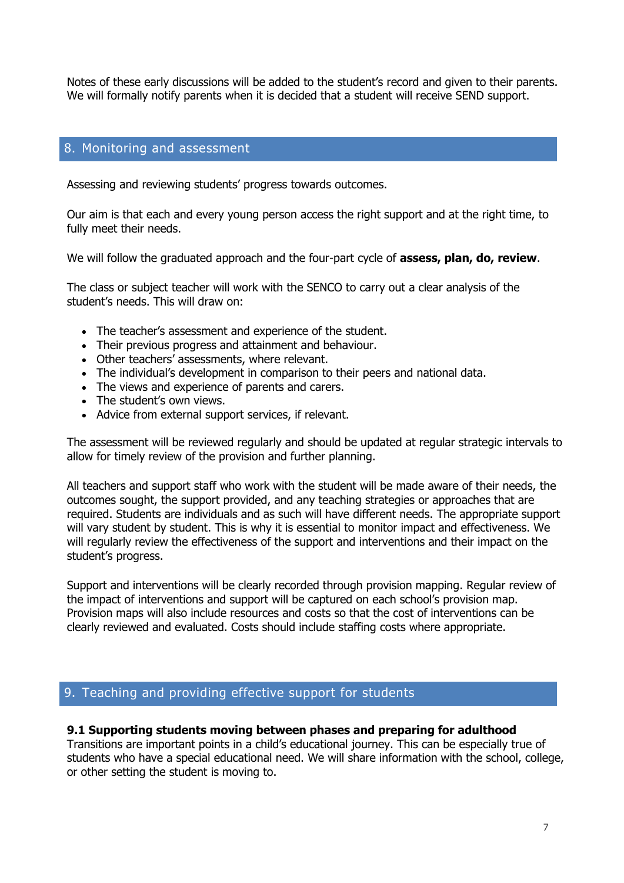Notes of these early discussions will be added to the student's record and given to their parents. We will formally notify parents when it is decided that a student will receive SEND support.

## 8. Monitoring and assessment

Assessing and reviewing students' progress towards outcomes.

Our aim is that each and every young person access the right support and at the right time, to fully meet their needs.

We will follow the graduated approach and the four-part cycle of **assess, plan, do, review**.

The class or subject teacher will work with the SENCO to carry out a clear analysis of the student's needs. This will draw on:

- The teacher's assessment and experience of the student.
- Their previous progress and attainment and behaviour.
- Other teachers' assessments, where relevant.
- The individual's development in comparison to their peers and national data.
- The views and experience of parents and carers.
- The student's own views.
- Advice from external support services, if relevant.

The assessment will be reviewed regularly and should be updated at regular strategic intervals to allow for timely review of the provision and further planning.

All teachers and support staff who work with the student will be made aware of their needs, the outcomes sought, the support provided, and any teaching strategies or approaches that are required. Students are individuals and as such will have different needs. The appropriate support will vary student by student. This is why it is essential to monitor impact and effectiveness. We will regularly review the effectiveness of the support and interventions and their impact on the student's progress.

Support and interventions will be clearly recorded through provision mapping. Regular review of the impact of interventions and support will be captured on each school's provision map. Provision maps will also include resources and costs so that the cost of interventions can be clearly reviewed and evaluated. Costs should include staffing costs where appropriate.

# 9. Teaching and providing effective support for students

#### **9.1 Supporting students moving between phases and preparing for adulthood**

Transitions are important points in a child's educational journey. This can be especially true of students who have a special educational need. We will share information with the school, college, or other setting the student is moving to.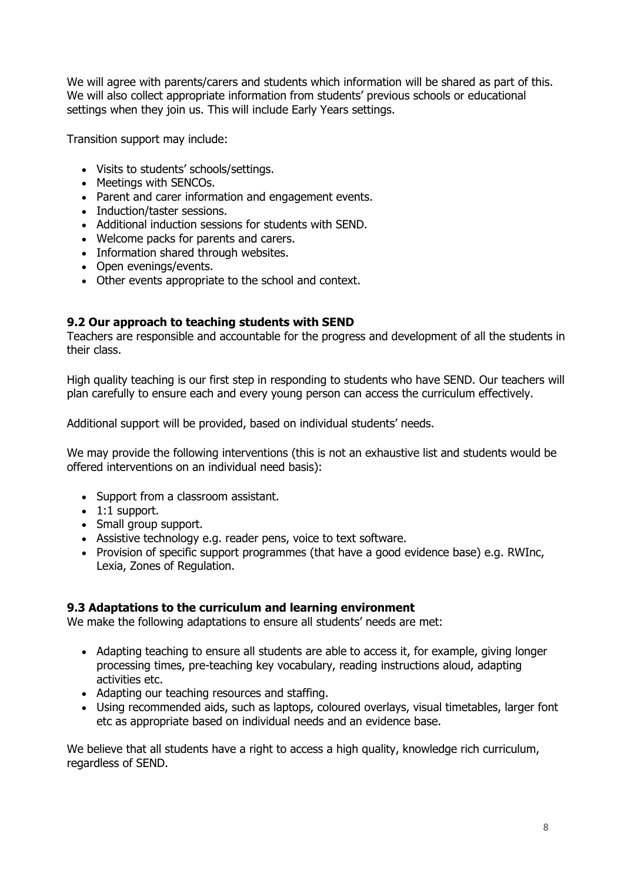We will agree with parents/carers and students which information will be shared as part of this. We will also collect appropriate information from students' previous schools or educational settings when they join us. This will include Early Years settings.

Transition support may include:

- Visits to students' schools/settings.
- Meetings with SENCOs.
- Parent and carer information and engagement events.
- Induction/taster sessions.
- Additional induction sessions for students with SEND.
- Welcome packs for parents and carers.
- Information shared through websites.
- Open evenings/events.
- Other events appropriate to the school and context.

## **9.2 Our approach to teaching students with SEND**

Teachers are responsible and accountable for the progress and development of all the students in their class.

High quality teaching is our first step in responding to students who have SEND. Our teachers will plan carefully to ensure each and every young person can access the curriculum effectively.

Additional support will be provided, based on individual students' needs.

We may provide the following interventions (this is not an exhaustive list and students would be offered interventions on an individual need basis):

- Support from a classroom assistant.
- 1:1 support.
- Small group support.
- Assistive technology e.g. reader pens, voice to text software.
- Provision of specific support programmes (that have a good evidence base) e.g. RWInc, Lexia, Zones of Regulation.

## **9.3 Adaptations to the curriculum and learning environment**

We make the following adaptations to ensure all students' needs are met:

- Adapting teaching to ensure all students are able to access it, for example, giving longer processing times, pre-teaching key vocabulary, reading instructions aloud, adapting activities etc.
- Adapting our teaching resources and staffing.
- Using recommended aids, such as laptops, coloured overlays, visual timetables, larger font etc as appropriate based on individual needs and an evidence base.

We believe that all students have a right to access a high quality, knowledge rich curriculum, regardless of SEND.